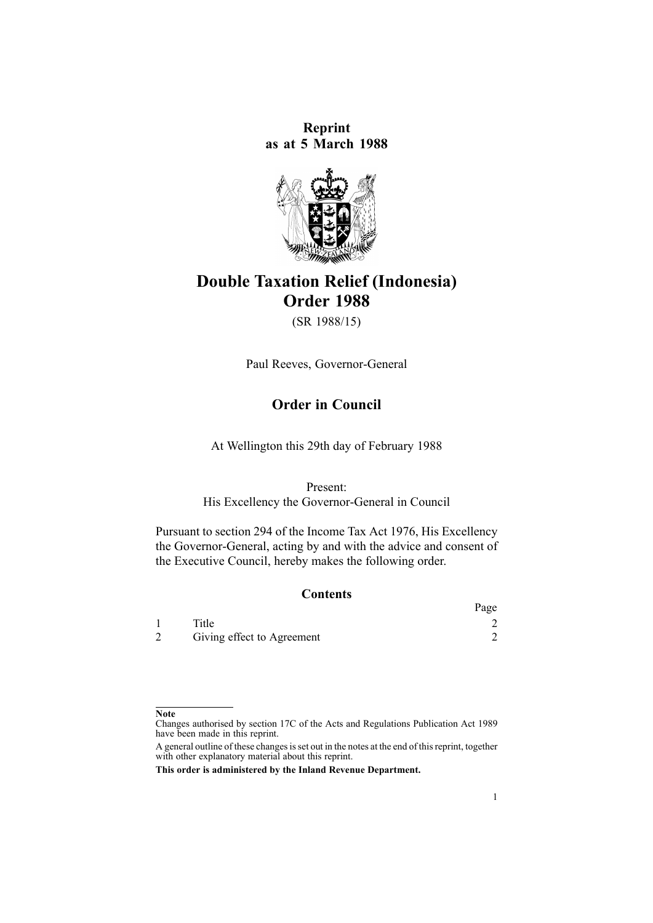**Reprint as at 5 March 1988**



# **Double Taxation Relief (Indonesia) Order 1988**

(SR 1988/15)

Paul Reeves, Governor-General

# **Order in Council**

At Wellington this 29th day of February 1988

Present:

His Excellency the Governor-General in Council

Pursuant to section 294 of the Income Tax Act 1976, His Excellency the Governor-General, acting by and with the advice and consent of the Executive Council, hereby makes the following order.

# **Contents**

|                            | Page |
|----------------------------|------|
| Title                      |      |
| Giving effect to Agreement |      |

#### **Note**

Changes authorised by [section](http://www.legislation.govt.nz/pdflink.aspx?id=DLM195466) 17C of the Acts and Regulations Publication Act 1989 have been made in this reprint.

A general outline of these changes is set out in the notes at the end of this reprint, together with other explanatory material about this reprint.

**This order is administered by the Inland Revenue Department.**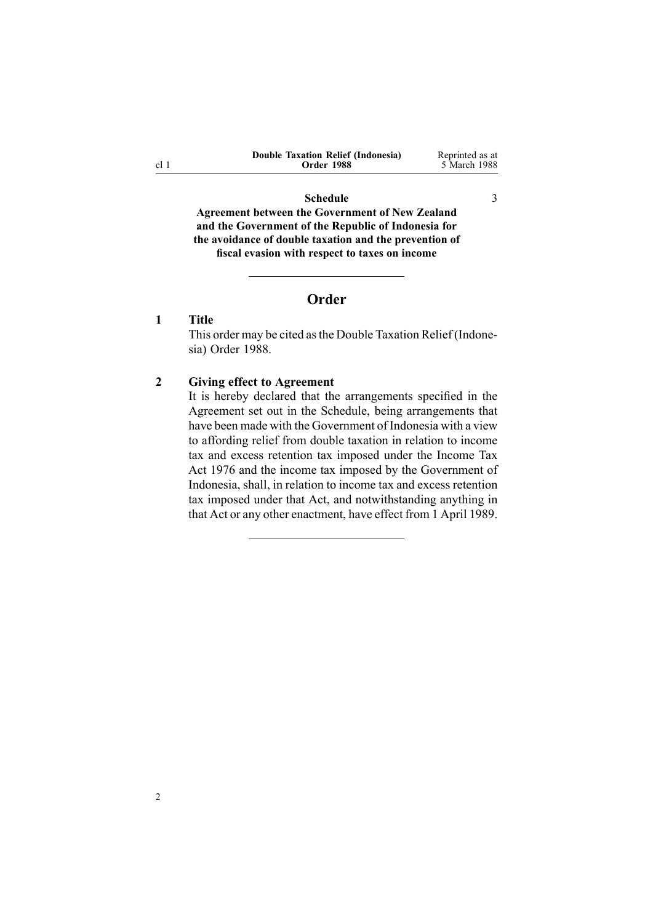<span id="page-1-0"></span>

| <b>Double Taxation Relief (Indonesia)</b> | Reprinted as at |
|-------------------------------------------|-----------------|
| <b>Order 1988</b>                         | 5 March 1988    |

#### **[Schedule](#page-2-0)** [3](#page-2-0)

**[Agreement](#page-2-0) between the Government of New Zealand and the [Government](#page-2-0) of the Republic of Indonesia for the [avoidance](#page-2-0) of double taxation and the prevention of fiscal [evasion](#page-2-0) with respect to taxes on income**

### **Order**

### **1 Title**

This order may be cited asthe Double Taxation Relief (Indonesia) Order 1988.

### **2 Giving effect to Agreement**

It is hereby declared that the arrangements specified in the Agreement set out in the [Schedule](#page-2-0), being arrangements that have been made with the Government of Indonesia with <sup>a</sup> view to affording relief from double taxation in relation to income tax and excess retention tax imposed under the Income Tax Act 1976 and the income tax imposed by the Government of Indonesia, shall, in relation to income tax and excess retention tax imposed under that Act, and notwithstanding anything in that Act or any other enactment, have effect from 1 April 1989.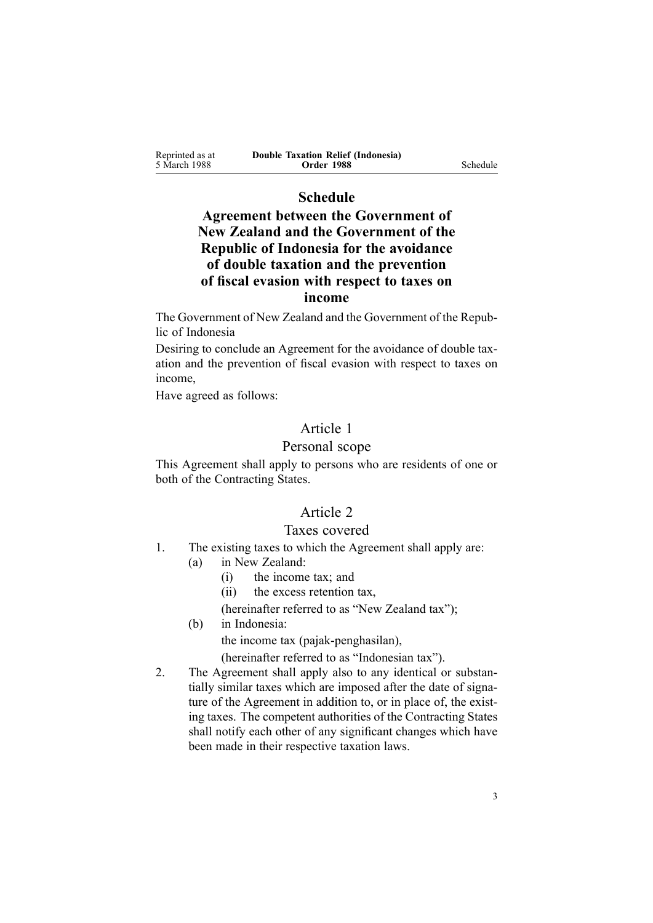<span id="page-2-0"></span>Reprinted as at 5 March 1988

# **Schedule**

# **Agreement between the Government of New Zealand and the Government of the Republic of Indonesia for the avoidance of double taxation and the prevention of fiscal evasion with respect to taxes on income**

The Government of New Zealand and the Government of the Republic of Indonesia

Desiring to conclude an Agreement for the avoidance of double taxation and the prevention of fiscal evasion with respec<sup>t</sup> to taxes on income,

Have agreed as follows:

# Article 1

# Personal scope

This Agreement shall apply to persons who are residents of one or both of the Contracting States.

# Article 2

## Taxes covered

- 1. The existing taxes to which the Agreement shall apply are:
	- (a) in New Zealand:
		- (i) the income tax; and
		- (ii) the excess retention tax,

(hereinafter referred to as "New Zealand tax");

(b) in Indonesia:

the income tax (pajak-penghasilan),

(hereinafter referred to as "Indonesian tax").

2. The Agreement shall apply also to any identical or substantially similar taxes which are imposed after the date of signature of the Agreement in addition to, or in place of, the existing taxes. The competent authorities of the Contracting States shall notify each other of any significant changes which have been made in their respective taxation laws.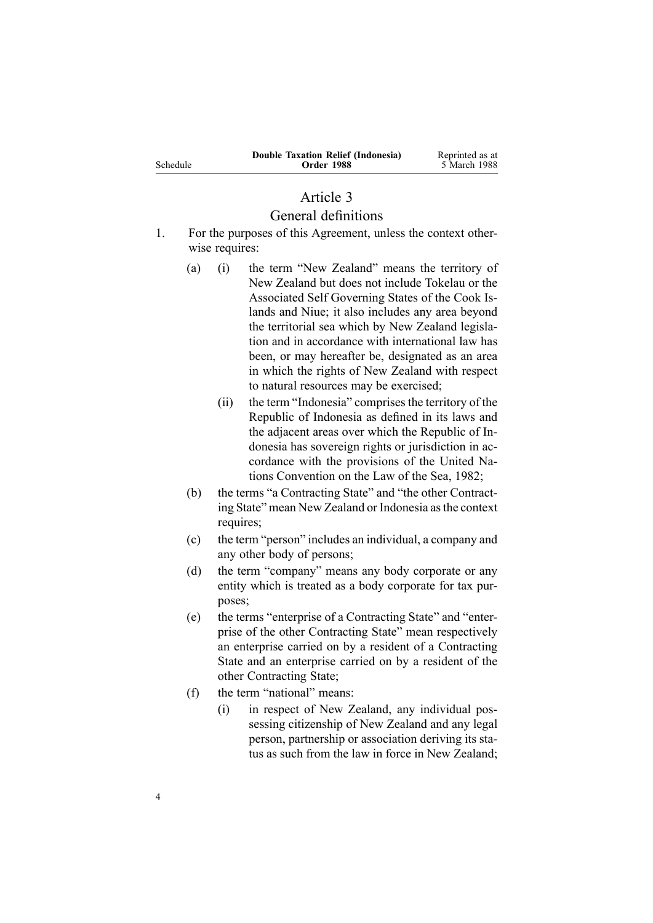|          | <b>Double Taxation Relief (Indonesia)</b> | Reprinted as at |
|----------|-------------------------------------------|-----------------|
| Schedule | <b>Order 1988</b>                         | 5 March 1988    |

# General definitions

- 1. For the purposes of this Agreement, unless the context otherwise requires:
	- (a) (i) the term "New Zealand" means the territory of New Zealand but does not include Tokelau or the Associated Self Governing States of the Cook Islands and Niue; it also includes any area beyond the territorial sea which by New Zealand legislation and in accordance with international law has been, or may hereafter be, designated as an area in which the rights of New Zealand with respec<sup>t</sup> to natural resources may be exercised;
		- (ii) the term "Indonesia" comprises the territory of the Republic of Indonesia as defined in its laws and the adjacent areas over which the Republic of Indonesia has sovereign rights or jurisdiction in accordance with the provisions of the United Nations Convention on the Law of the Sea, 1982;
	- (b) the terms "a Contracting State" and "the other Contracting State" mean New Zealand or Indonesia asthe context requires;
	- (c) the term "person" includes an individual, <sup>a</sup> company and any other body of persons;
	- (d) the term "company" means any body corporate or any entity which is treated as <sup>a</sup> body corporate for tax purposes;
	- (e) the terms "enterprise of <sup>a</sup> Contracting State" and "enterprise of the other Contracting State" mean respectively an enterprise carried on by <sup>a</sup> resident of <sup>a</sup> Contracting State and an enterprise carried on by <sup>a</sup> resident of the other Contracting State;
	- (f) the term "national" means:
		- (i) in respec<sup>t</sup> of New Zealand, any individual possessing citizenship of New Zealand and any legal person, partnership or association deriving its status as such from the law in force in New Zealand;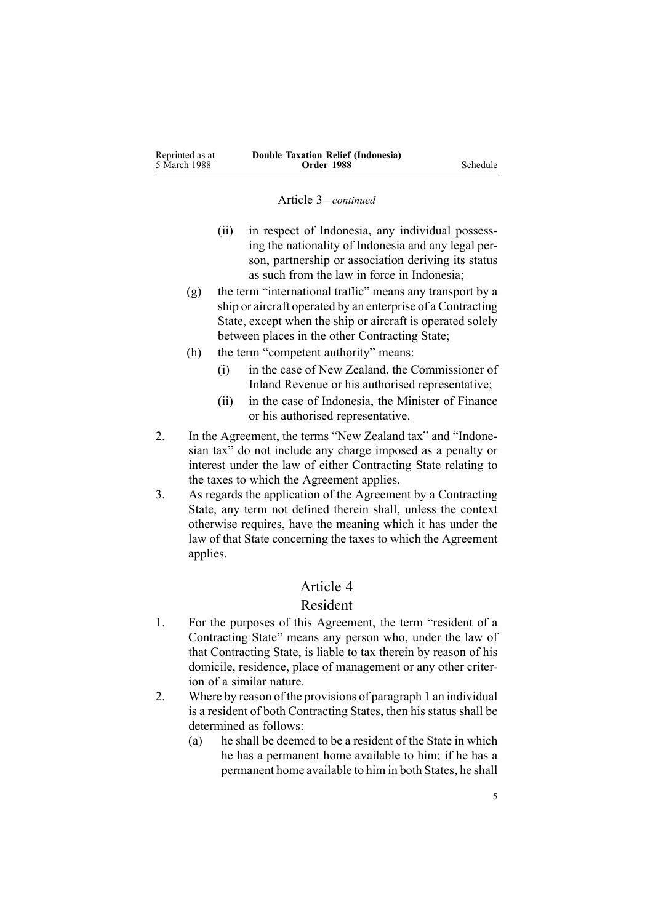| Reprinted as at | <b>Double Taxation Relief (Indonesia)</b> |          |
|-----------------|-------------------------------------------|----------|
| 5 March 1988    | Order 1988                                | Schedule |

#### Article 3*—continued*

- (ii) in respec<sup>t</sup> of Indonesia, any individual possessing the nationality of Indonesia and any legal person, partnership or association deriving its status as such from the law in force in Indonesia;
- (g) the term "international traffic" means any transport by <sup>a</sup> ship or aircraft operated by an enterprise of <sup>a</sup> Contracting State, excep<sup>t</sup> when the ship or aircraft is operated solely between places in the other Contracting State;
- (h) the term "competent authority" means:
	- (i) in the case of New Zealand, the Commissioner of Inland Revenue or his authorised representative;
	- (ii) in the case of Indonesia, the Minister of Finance or his authorised representative.
- 2. In the Agreement, the terms "New Zealand tax" and "Indonesian tax" do not include any charge imposed as <sup>a</sup> penalty or interest under the law of either Contracting State relating to the taxes to which the Agreement applies.
- 3. As regards the application of the Agreement by <sup>a</sup> Contracting State, any term not defined therein shall, unless the context otherwise requires, have the meaning which it has under the law of that State concerning the taxes to which the Agreement applies.

# Article 4

### Resident

- 1. For the purposes of this Agreement, the term "resident of <sup>a</sup> Contracting State" means any person who, under the law of that Contracting State, is liable to tax therein by reason of his domicile, residence, place of managemen<sup>t</sup> or any other criterion of <sup>a</sup> similar nature.
- 2. Where by reason of the provisions of paragraph 1 an individual is <sup>a</sup> resident of both Contracting States, then his status shall be determined as follows:
	- (a) he shall be deemed to be <sup>a</sup> resident of the State in which he has <sup>a</sup> permanen<sup>t</sup> home available to him; if he has <sup>a</sup> permanen<sup>t</sup> home available to him in both States, he shall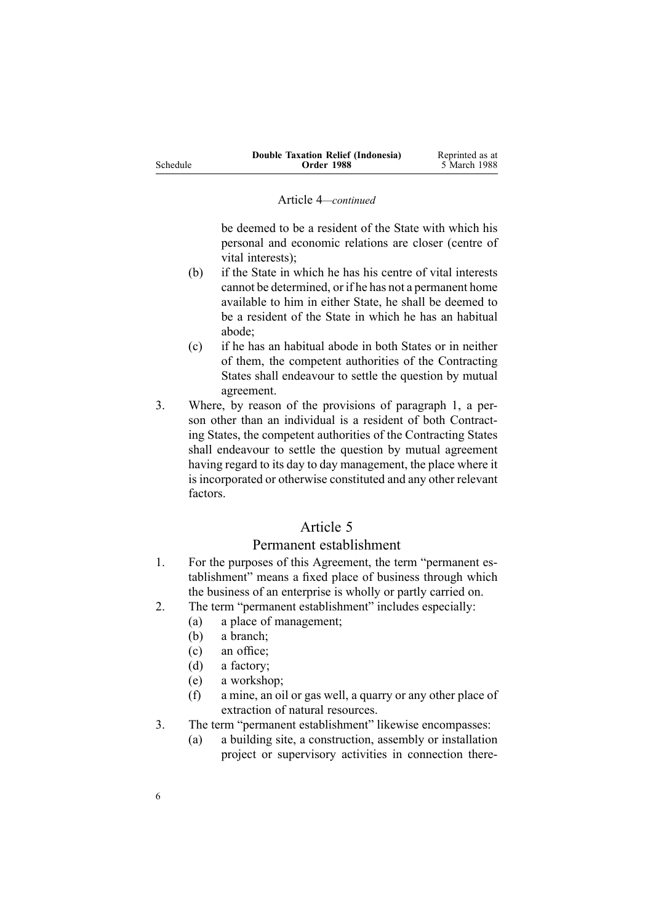|          | <b>Double Taxation Relief (Indonesia)</b> | Reprinted as at |
|----------|-------------------------------------------|-----------------|
| Schedule | <b>Order 1988</b>                         | 5 March 1988    |

#### Article 4*—continued*

be deemed to be <sup>a</sup> resident of the State with which his personal and economic relations are closer (centre of vital interests);

- (b) if the State in which he has his centre of vital interests cannot be determined, or if he has not <sup>a</sup> permanen<sup>t</sup> home available to him in either State, he shall be deemed to be <sup>a</sup> resident of the State in which he has an habitual abode;
- (c) if he has an habitual abode in both States or in neither of them, the competent authorities of the Contracting States shall endeavour to settle the question by mutual agreement.
- 3. Where, by reason of the provisions of paragraph 1, <sup>a</sup> person other than an individual is <sup>a</sup> resident of both Contracting States, the competent authorities of the Contracting States shall endeavour to settle the question by mutual agreemen<sup>t</sup> having regard to its day to day management, the place where it is incorporated or otherwise constituted and any other relevant factors.

# Article 5

### Permanent establishment

- 1. For the purposes of this Agreement, the term "permanent establishment" means <sup>a</sup> fixed place of business through which the business of an enterprise is wholly or partly carried on.
- 2. The term "permanent establishment" includes especially:
	- (a) <sup>a</sup> place of management;
	- (b) <sup>a</sup> branch;
	- (c) an office;
	- (d) <sup>a</sup> factory;
	- (e) <sup>a</sup> workshop;
	- (f) <sup>a</sup> mine, an oil or gas well, <sup>a</sup> quarry or any other place of extraction of natural resources.
- 3. The term "permanent establishment" likewise encompasses:
	- (a) <sup>a</sup> building site, <sup>a</sup> construction, assembly or installation project or supervisory activities in connection there-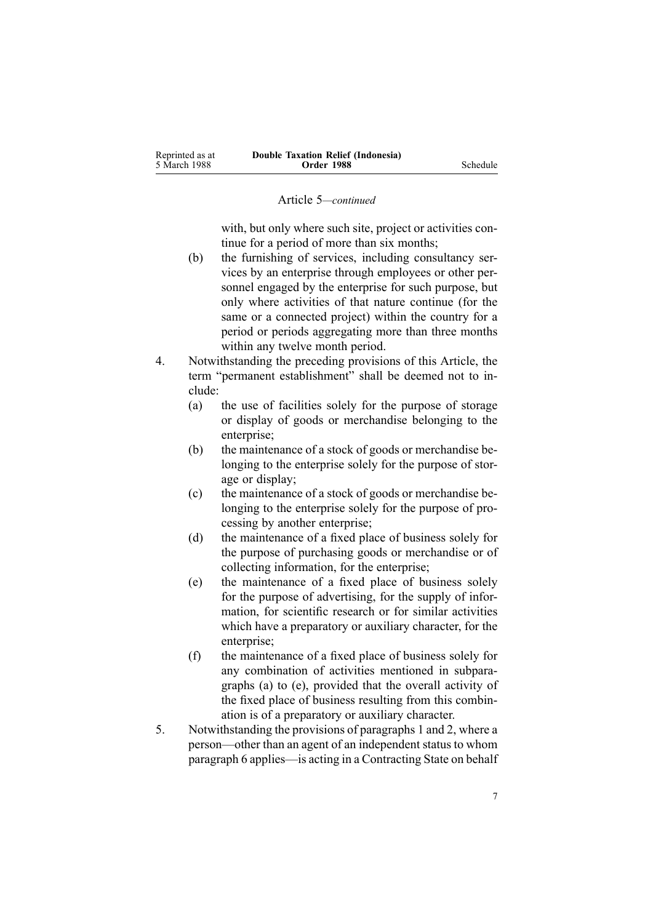| Reprinted as at | <b>Double Taxation Relief (Indonesia)</b> |          |
|-----------------|-------------------------------------------|----------|
| 5 March 1988    | Order 1988                                | Schedule |

#### Article 5*—continued*

with, but only where such site, project or activities continue for <sup>a</sup> period of more than six months;

- (b) the furnishing of services, including consultancy services by an enterprise through employees or other personnel engaged by the enterprise for such purpose, but only where activities of that nature continue (for the same or <sup>a</sup> connected project) within the country for <sup>a</sup> period or periods aggregating more than three months within any twelve month period.
- 4. Notwithstanding the preceding provisions of this Article, the term "permanent establishment" shall be deemed not to include:
	- (a) the use of facilities solely for the purpose of storage or display of goods or merchandise belonging to the enterprise;
	- (b) the maintenance of <sup>a</sup> stock of goods or merchandise belonging to the enterprise solely for the purpose of storage or display;
	- (c) the maintenance of <sup>a</sup> stock of goods or merchandise belonging to the enterprise solely for the purpose of processing by another enterprise;
	- (d) the maintenance of <sup>a</sup> fixed place of business solely for the purpose of purchasing goods or merchandise or of collecting information, for the enterprise;
	- (e) the maintenance of <sup>a</sup> fixed place of business solely for the purpose of advertising, for the supply of information, for scientific research or for similar activities which have <sup>a</sup> preparatory or auxiliary character, for the enterprise;
	- (f) the maintenance of <sup>a</sup> fixed place of business solely for any combination of activities mentioned in subparagraphs (a) to (e), provided that the overall activity of the fixed place of business resulting from this combination is of <sup>a</sup> preparatory or auxiliary character.
- 5. Notwithstanding the provisions of paragraphs 1 and 2, where <sup>a</sup> person—other than an agen<sup>t</sup> of an independent status to whom paragraph 6 applies—is acting in <sup>a</sup> Contracting State on behalf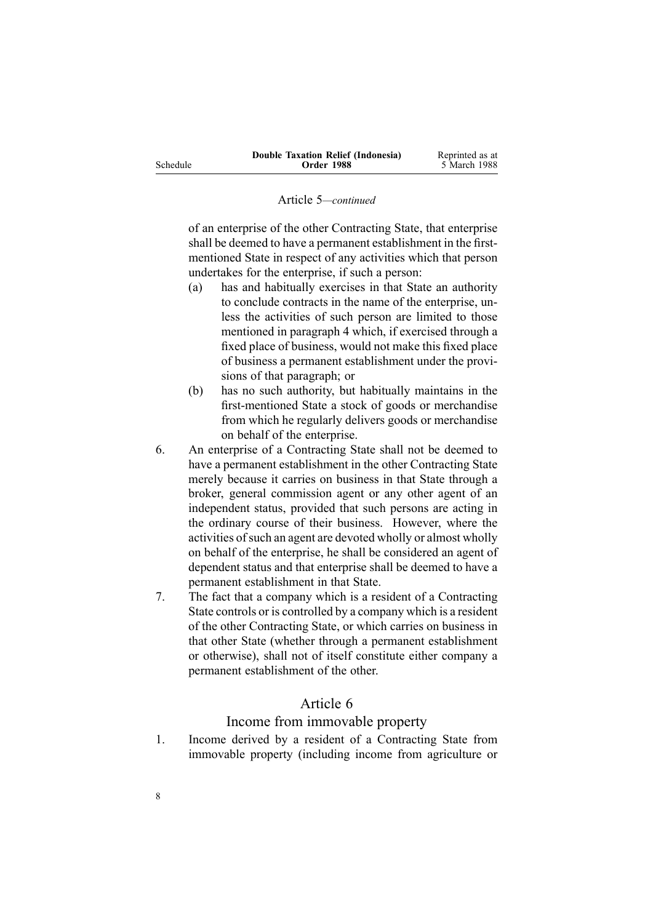|          | <b>Double Taxation Relief (Indonesia)</b> | Reprinted as at |
|----------|-------------------------------------------|-----------------|
| Schedule | <b>Order 1988</b>                         | 5 March 1988    |

#### Article 5*—continued*

of an enterprise of the other Contracting State, that enterprise shall be deemed to have <sup>a</sup> permanen<sup>t</sup> establishment in the firstmentioned State in respec<sup>t</sup> of any activities which that person undertakes for the enterprise, if such <sup>a</sup> person:

- (a) has and habitually exercises in that State an authority to conclude contracts in the name of the enterprise, unless the activities of such person are limited to those mentioned in paragraph 4 which, if exercised through <sup>a</sup> fixed place of business, would not make this fixed place of business <sup>a</sup> permanen<sup>t</sup> establishment under the provisions of that paragraph; or
- (b) has no such authority, but habitually maintains in the first-mentioned State <sup>a</sup> stock of goods or merchandise from which he regularly delivers goods or merchandise on behalf of the enterprise.
- 6. An enterprise of <sup>a</sup> Contracting State shall not be deemed to have <sup>a</sup> permanen<sup>t</sup> establishment in the other Contracting State merely because it carries on business in that State through <sup>a</sup> broker, general commission agen<sup>t</sup> or any other agen<sup>t</sup> of an independent status, provided that such persons are acting in the ordinary course of their business. However, where the activities of such an agent are devoted wholly or almost wholly on behalf of the enterprise, he shall be considered an agen<sup>t</sup> of dependent status and that enterprise shall be deemed to have <sup>a</sup> permanen<sup>t</sup> establishment in that State.
- 7. The fact that <sup>a</sup> company which is <sup>a</sup> resident of <sup>a</sup> Contracting State controls or is controlled by <sup>a</sup> company which is <sup>a</sup> resident of the other Contracting State, or which carries on business in that other State (whether through <sup>a</sup> permanen<sup>t</sup> establishment or otherwise), shall not of itself constitute either company <sup>a</sup> permanen<sup>t</sup> establishment of the other.

# Article 6

### Income from immovable property

1. Income derived by <sup>a</sup> resident of <sup>a</sup> Contracting State from immovable property (including income from agriculture or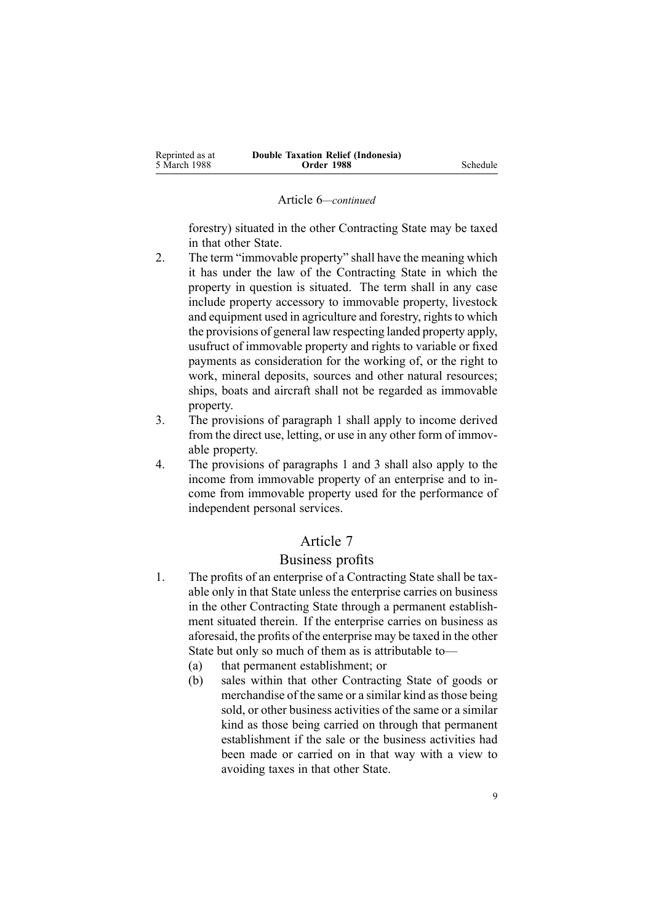| Reprinted as at | <b>Double Taxation Relief (Indonesia)</b> |          |
|-----------------|-------------------------------------------|----------|
| 5 March 1988    | <b>Order 1988</b>                         | Schedule |

#### Article 6*—continued*

forestry) situated in the other Contracting State may be taxed in that other State.

- 2. The term "immovable property" shall have the meaning which it has under the law of the Contracting State in which the property in question is situated. The term shall in any case include property accessory to immovable property, livestock and equipment used in agriculture and forestry, rights to which the provisions of general law respecting landed property apply, usufruct of immovable property and rights to variable or fixed payments as consideration for the working of, or the right to work, mineral deposits, sources and other natural resources; ships, boats and aircraft shall not be regarded as immovable property.
- 3. The provisions of paragraph 1 shall apply to income derived from the direct use, letting, or use in any other form of immovable property.
- 4. The provisions of paragraphs 1 and 3 shall also apply to the income from immovable property of an enterprise and to income from immovable property used for the performance of independent personal services.

### Article 7

# Business profits

- 1. The profits of an enterprise of <sup>a</sup> Contracting State shall be taxable only in that State unless the enterprise carries on business in the other Contracting State through <sup>a</sup> permanen<sup>t</sup> establishment situated therein. If the enterprise carries on business as aforesaid, the profits of the enterprise may be taxed in the other State but only so much of them as is attributable to—
	- (a) that permanen<sup>t</sup> establishment; or
	- (b) sales within that other Contracting State of goods or merchandise of the same or a similar kind as those being sold, or other business activities of the same or <sup>a</sup> similar kind as those being carried on through that permanen<sup>t</sup> establishment if the sale or the business activities had been made or carried on in that way with <sup>a</sup> view to avoiding taxes in that other State.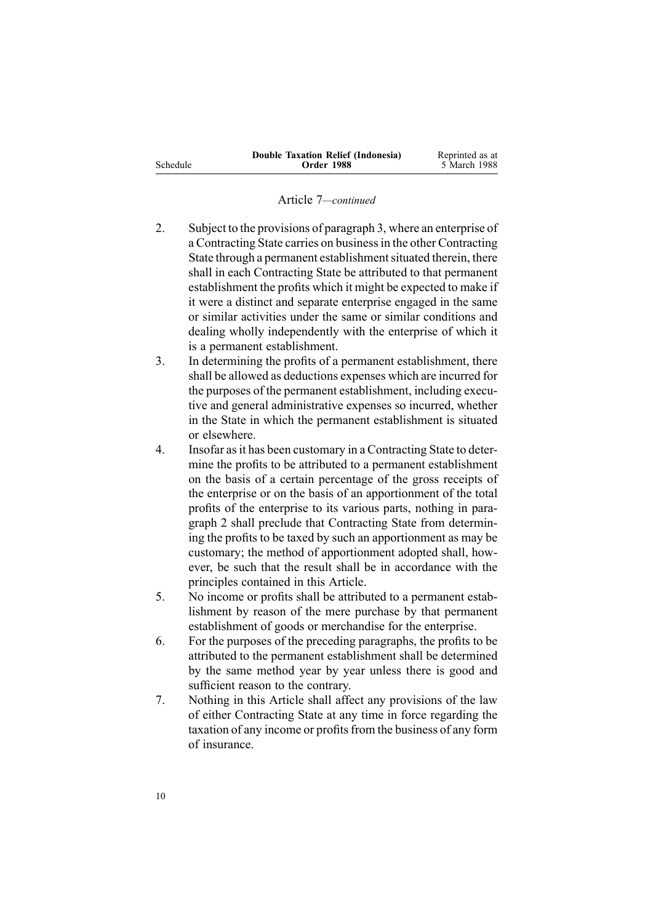|          | <b>Double Taxation Relief (Indonesia)</b> | Reprinted as at |
|----------|-------------------------------------------|-----------------|
| Schedule | <b>Order 1988</b>                         | 5 March 1988    |

#### Article 7*—continued*

- 2. Subject to the provisions of paragraph 3, where an enterprise of <sup>a</sup> Contracting State carries on businessin the other Contracting State through a permanent establishment situated therein, there shall in each Contracting State be attributed to that permanen<sup>t</sup> establishment the profits which it might be expected to make if it were <sup>a</sup> distinct and separate enterprise engaged in the same or similar activities under the same or similar conditions and dealing wholly independently with the enterprise of which it is <sup>a</sup> permanen<sup>t</sup> establishment.
- 3. In determining the profits of <sup>a</sup> permanen<sup>t</sup> establishment, there shall be allowed as deductions expenses which are incurred for the purposes of the permanen<sup>t</sup> establishment, including executive and general administrative expenses so incurred, whether in the State in which the permanen<sup>t</sup> establishment is situated or elsewhere.
- 4. Insofar asit has been customary in <sup>a</sup> Contracting State to determine the profits to be attributed to <sup>a</sup> permanen<sup>t</sup> establishment on the basis of <sup>a</sup> certain percentage of the gross receipts of the enterprise or on the basis of an apportionment of the total profits of the enterprise to its various parts, nothing in paragraph 2 shall preclude that Contracting State from determining the profits to be taxed by such an apportionment as may be customary; the method of apportionment adopted shall, however, be such that the result shall be in accordance with the principles contained in this Article.
- 5. No income or profits shall be attributed to <sup>a</sup> permanen<sup>t</sup> establishment by reason of the mere purchase by that permanen<sup>t</sup> establishment of goods or merchandise for the enterprise.
- 6. For the purposes of the preceding paragraphs, the profits to be attributed to the permanen<sup>t</sup> establishment shall be determined by the same method year by year unless there is good and sufficient reason to the contrary.
- 7. Nothing in this Article shall affect any provisions of the law of either Contracting State at any time in force regarding the taxation of any income or profits from the business of any form of insurance.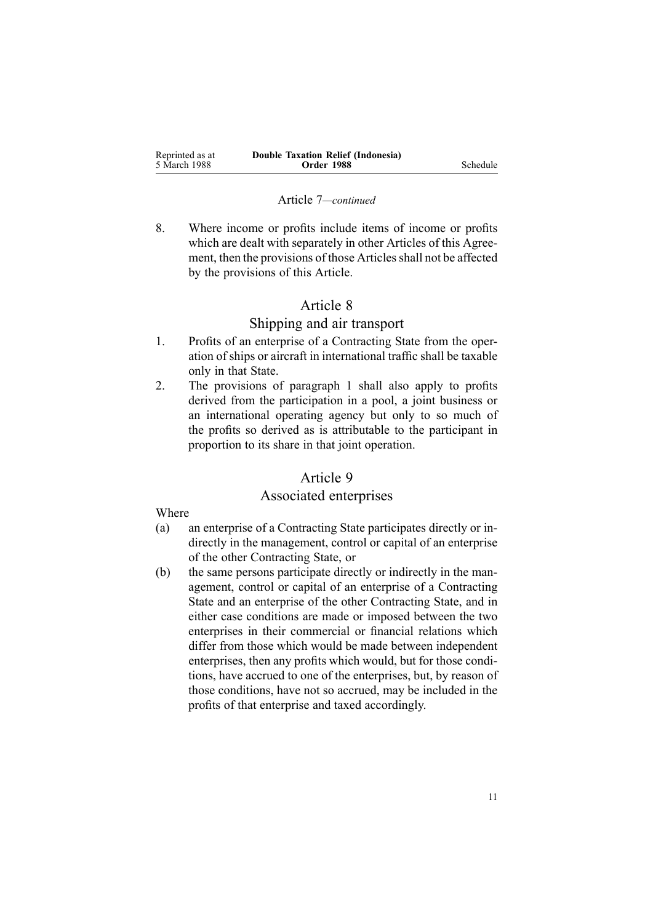| Reprinted as at | <b>Double Taxation Relief (Indonesia)</b> |          |
|-----------------|-------------------------------------------|----------|
| 5 March 1988    | <b>Order 1988</b>                         | Schedule |

#### Article 7*—continued*

8. Where income or profits include items of income or profits which are dealt with separately in other Articles of this Agreement, then the provisions of those Articles shall not be affected by the provisions of this Article.

### Article 8

### Shipping and air transport

- 1. Profits of an enterprise of <sup>a</sup> Contracting State from the operation of ships or aircraft in international traffic shall be taxable only in that State.
- 2. The provisions of paragraph 1 shall also apply to profits derived from the participation in <sup>a</sup> pool, <sup>a</sup> joint business or an international operating agency but only to so much of the profits so derived as is attributable to the participant in proportion to its share in that joint operation.

# Article 9

#### Associated enterprises

Where

- (a) an enterprise of <sup>a</sup> Contracting State participates directly or indirectly in the management, control or capital of an enterprise of the other Contracting State, or
- (b) the same persons participate directly or indirectly in the management, control or capital of an enterprise of <sup>a</sup> Contracting State and an enterprise of the other Contracting State, and in either case conditions are made or imposed between the two enterprises in their commercial or financial relations which differ from those which would be made between independent enterprises, then any profits which would, but for those conditions, have accrued to one of the enterprises, but, by reason of those conditions, have not so accrued, may be included in the profits of that enterprise and taxed accordingly.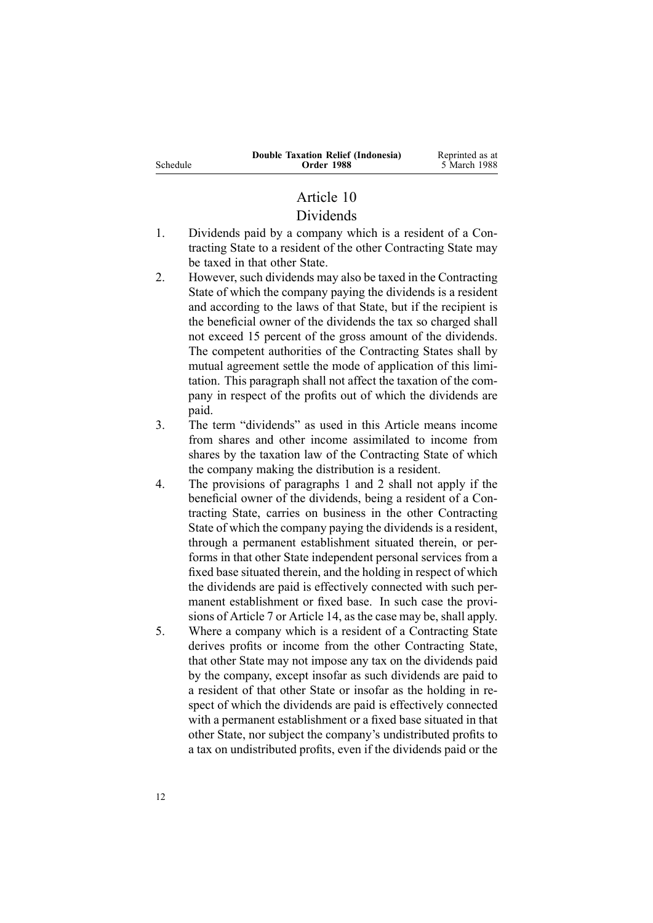|          | <b>Double Taxation Relief (Indonesia)</b> | Reprinted as at |
|----------|-------------------------------------------|-----------------|
| Schedule | Order 1988                                | 5 March 1988    |
|          |                                           |                 |

# Dividends

- 1. Dividends paid by <sup>a</sup> company which is <sup>a</sup> resident of <sup>a</sup> Contracting State to <sup>a</sup> resident of the other Contracting State may be taxed in that other State.
- 2. However, such dividends may also be taxed in the Contracting State of which the company paying the dividends is <sup>a</sup> resident and according to the laws of that State, but if the recipient is the beneficial owner of the dividends the tax so charged shall not exceed 15 percen<sup>t</sup> of the gross amount of the dividends. The competent authorities of the Contracting States shall by mutual agreemen<sup>t</sup> settle the mode of application of this limitation. This paragraph shall not affect the taxation of the company in respec<sup>t</sup> of the profits out of which the dividends are paid.
- 3. The term "dividends" as used in this Article means income from shares and other income assimilated to income from shares by the taxation law of the Contracting State of which the company making the distribution is <sup>a</sup> resident.
- 4. The provisions of paragraphs 1 and 2 shall not apply if the beneficial owner of the dividends, being <sup>a</sup> resident of <sup>a</sup> Contracting State, carries on business in the other Contracting State of which the company paying the dividends is <sup>a</sup> resident, through <sup>a</sup> permanen<sup>t</sup> establishment situated therein, or performs in that other State independent personal services from <sup>a</sup> fixed base situated therein, and the holding in respec<sup>t</sup> of which the dividends are paid is effectively connected with such permanent establishment or fixed base. In such case the provisions of Article 7 or Article 14, as the case may be, shall apply.
- 5. Where <sup>a</sup> company which is <sup>a</sup> resident of <sup>a</sup> Contracting State derives profits or income from the other Contracting State, that other State may not impose any tax on the dividends paid by the company, excep<sup>t</sup> insofar as such dividends are paid to <sup>a</sup> resident of that other State or insofar as the holding in respec<sup>t</sup> of which the dividends are paid is effectively connected with <sup>a</sup> permanen<sup>t</sup> establishment or <sup>a</sup> fixed base situated in that other State, nor subject the company's undistributed profits to <sup>a</sup> tax on undistributed profits, even if the dividends paid or the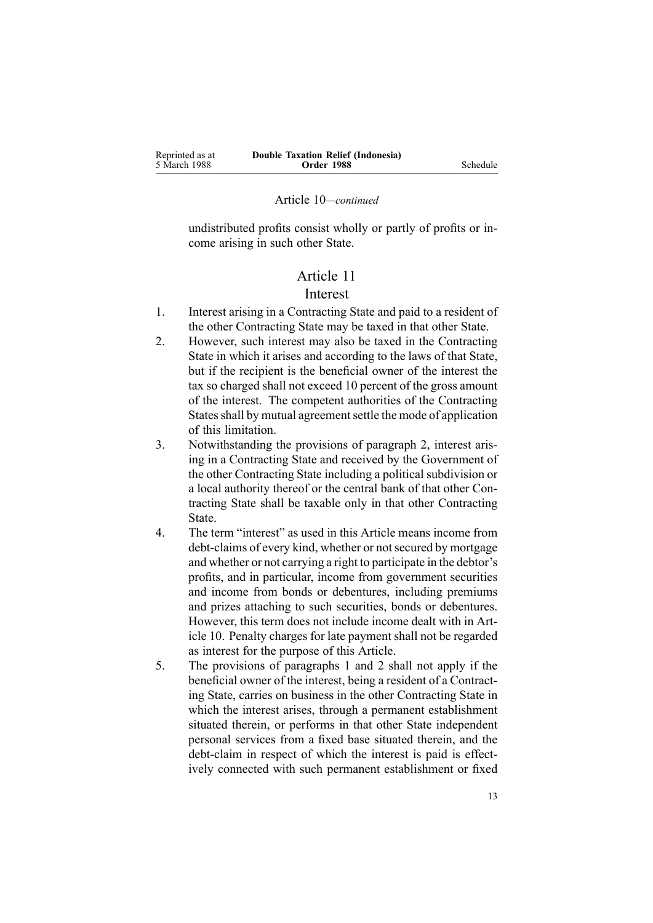| Reprinted as at | <b>Double Taxation Relief (Indonesia)</b> |
|-----------------|-------------------------------------------|
| 5 March 1988    | <b>Order 1988</b>                         |

**Order 1988** Schedule

#### Article 10*—continued*

undistributed profits consist wholly or partly of profits or income arising in such other State.

# Article 11

# Interest

- 1. Interest arising in <sup>a</sup> Contracting State and paid to <sup>a</sup> resident of the other Contracting State may be taxed in that other State.
- 2. However, such interest may also be taxed in the Contracting State in which it arises and according to the laws of that State, but if the recipient is the beneficial owner of the interest the tax so charged shall not exceed 10 percen<sup>t</sup> of the gross amount of the interest. The competent authorities of the Contracting States shall by mutual agreement settle the mode of application of this limitation.
- 3. Notwithstanding the provisions of paragraph 2, interest arising in <sup>a</sup> Contracting State and received by the Government of the other Contracting State including <sup>a</sup> political subdivision or <sup>a</sup> local authority thereof or the central bank of that other Contracting State shall be taxable only in that other Contracting State.
- 4. The term "interest" as used in this Article means income from debt-claims of every kind, whether or not secured by mortgage and whether or not carrying <sup>a</sup> right to participate in the debtor's profits, and in particular, income from governmen<sup>t</sup> securities and income from bonds or debentures, including premiums and prizes attaching to such securities, bonds or debentures. However, this term does not include income dealt with in Article 10. Penalty charges for late paymen<sup>t</sup> shall not be regarded as interest for the purpose of this Article.
- 5. The provisions of paragraphs 1 and 2 shall not apply if the beneficial owner of the interest, being <sup>a</sup> resident of <sup>a</sup> Contracting State, carries on business in the other Contracting State in which the interest arises, through <sup>a</sup> permanen<sup>t</sup> establishment situated therein, or performs in that other State independent personal services from <sup>a</sup> fixed base situated therein, and the debt-claim in respec<sup>t</sup> of which the interest is paid is effectively connected with such permanen<sup>t</sup> establishment or fixed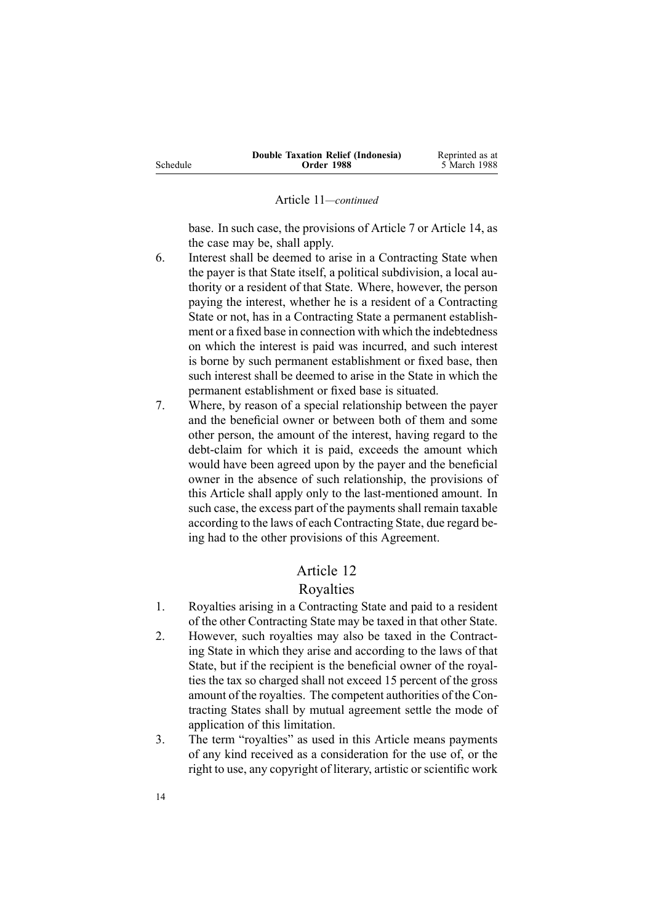|          | <b>Double Taxation Relief (Indonesia)</b> | Reprinted as at |
|----------|-------------------------------------------|-----------------|
| Schedule | <b>Order 1988</b>                         | 5 March 1988    |

#### Article 11*—continued*

base. In such case, the provisions of Article 7 or Article 14, as the case may be, shall apply.

- 6. Interest shall be deemed to arise in <sup>a</sup> Contracting State when the payer is that State itself, <sup>a</sup> political subdivision, <sup>a</sup> local authority or <sup>a</sup> resident of that State. Where, however, the person paying the interest, whether he is <sup>a</sup> resident of <sup>a</sup> Contracting State or not, has in <sup>a</sup> Contracting State <sup>a</sup> permanen<sup>t</sup> establishment or <sup>a</sup> fixed base in connection with which the indebtedness on which the interest is paid was incurred, and such interest is borne by such permanen<sup>t</sup> establishment or fixed base, then such interest shall be deemed to arise in the State in which the permanen<sup>t</sup> establishment or fixed base is situated.
- 7. Where, by reason of <sup>a</sup> special relationship between the payer and the beneficial owner or between both of them and some other person, the amount of the interest, having regard to the debt-claim for which it is paid, exceeds the amount which would have been agreed upon by the payer and the beneficial owner in the absence of such relationship, the provisions of this Article shall apply only to the last-mentioned amount. In such case, the excess par<sup>t</sup> of the payments shall remain taxable according to the laws of each Contracting State, due regard being had to the other provisions of this Agreement.

# Article 12

### Royalties

- 1. Royalties arising in <sup>a</sup> Contracting State and paid to <sup>a</sup> resident of the other Contracting State may be taxed in that other State.
- 2. However, such royalties may also be taxed in the Contracting State in which they arise and according to the laws of that State, but if the recipient is the beneficial owner of the royalties the tax so charged shall not exceed 15 percen<sup>t</sup> of the gross amount of the royalties. The competent authorities of the Contracting States shall by mutual agreemen<sup>t</sup> settle the mode of application of this limitation.
- 3. The term "royalties" as used in this Article means payments of any kind received as <sup>a</sup> consideration for the use of, or the right to use, any copyright of literary, artistic orscientific work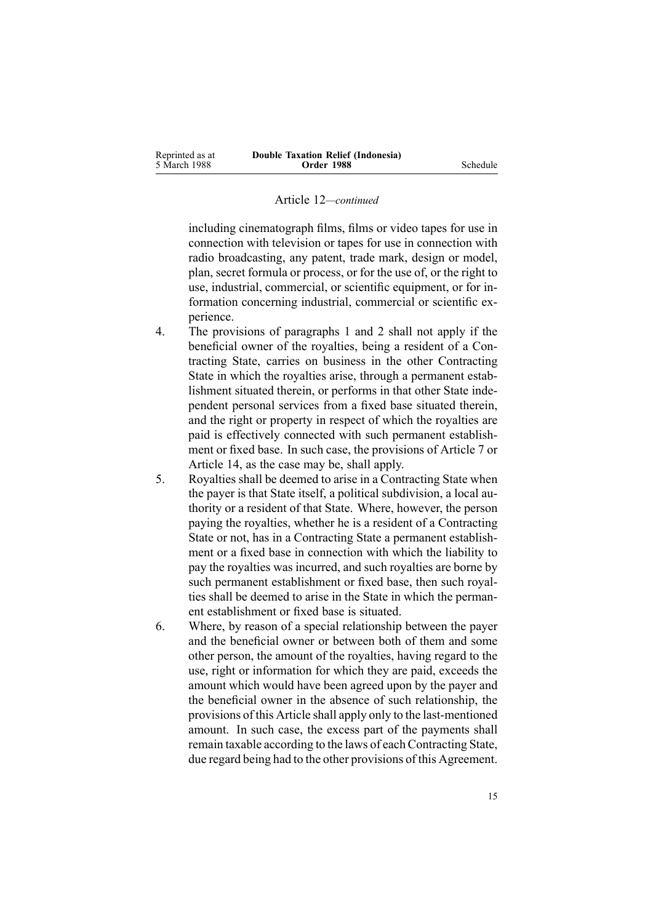| Reprinted as at | <b>Double Taxation Relief (Indonesia)</b> |          |
|-----------------|-------------------------------------------|----------|
| 5 March 1988    | Order 1988                                | Schedule |

#### Article 12*—continued*

including cinematograph films, films or video tapes for use in connection with television or tapes for use in connection with radio broadcasting, any patent, trade mark, design or model, plan, secret formula or process, or for the use of, or the right to use, industrial, commercial, or scientific equipment, or for information concerning industrial, commercial or scientific experience.

- 4. The provisions of paragraphs 1 and 2 shall not apply if the beneficial owner of the royalties, being <sup>a</sup> resident of <sup>a</sup> Contracting State, carries on business in the other Contracting State in which the royalties arise, through <sup>a</sup> permanen<sup>t</sup> establishment situated therein, or performs in that other State independent personal services from <sup>a</sup> fixed base situated therein, and the right or property in respec<sup>t</sup> of which the royalties are paid is effectively connected with such permanen<sup>t</sup> establishment or fixed base. In such case, the provisions of Article 7 or Article 14, as the case may be, shall apply.
- 5. Royalties shall be deemed to arise in <sup>a</sup> Contracting State when the payer is that State itself, <sup>a</sup> political subdivision, <sup>a</sup> local authority or <sup>a</sup> resident of that State. Where, however, the person paying the royalties, whether he is <sup>a</sup> resident of <sup>a</sup> Contracting State or not, has in <sup>a</sup> Contracting State <sup>a</sup> permanen<sup>t</sup> establishment or <sup>a</sup> fixed base in connection with which the liability to pay the royalties was incurred, and such royalties are borne by such permanen<sup>t</sup> establishment or fixed base, then such royalties shall be deemed to arise in the State in which the permanent establishment or fixed base is situated.
- 6. Where, by reason of <sup>a</sup> special relationship between the payer and the beneficial owner or between both of them and some other person, the amount of the royalties, having regard to the use, right or information for which they are paid, exceeds the amount which would have been agreed upon by the payer and the beneficial owner in the absence of such relationship, the provisions of this Article shall apply only to the last-mentioned amount. In such case, the excess par<sup>t</sup> of the payments shall remain taxable according to the laws of each Contracting State, due regard being had to the other provisions of this Agreement.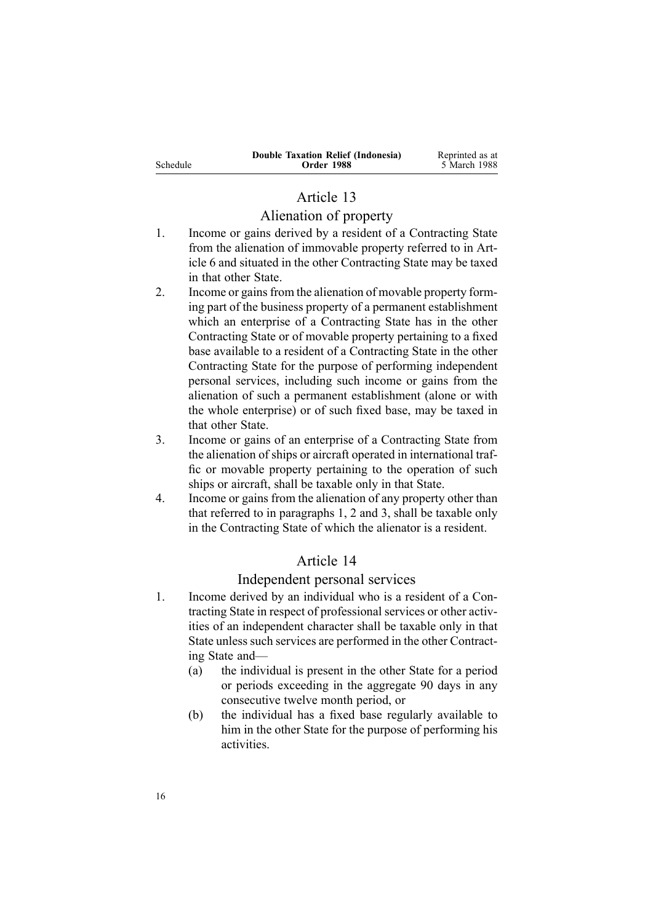|          | <b>Double Taxation Relief (Indonesia)</b> | Reprinted as at |
|----------|-------------------------------------------|-----------------|
| Schedule | <b>Order 1988</b>                         | 5 March 1988    |

# Alienation of property

- 1. Income or gains derived by <sup>a</sup> resident of <sup>a</sup> Contracting State from the alienation of immovable property referred to in Article 6 and situated in the other Contracting State may be taxed in that other State.
- 2. Income or gains from the alienation of movable property forming par<sup>t</sup> of the business property of <sup>a</sup> permanen<sup>t</sup> establishment which an enterprise of <sup>a</sup> Contracting State has in the other Contracting State or of movable property pertaining to <sup>a</sup> fixed base available to <sup>a</sup> resident of <sup>a</sup> Contracting State in the other Contracting State for the purpose of performing independent personal services, including such income or gains from the alienation of such <sup>a</sup> permanen<sup>t</sup> establishment (alone or with the whole enterprise) or of such fixed base, may be taxed in that other State.
- 3. Income or gains of an enterprise of <sup>a</sup> Contracting State from the alienation of ships or aircraft operated in international traffic or movable property pertaining to the operation of such ships or aircraft, shall be taxable only in that State.
- 4. Income or gains from the alienation of any property other than that referred to in paragraphs 1, 2 and 3, shall be taxable only in the Contracting State of which the alienator is <sup>a</sup> resident.

## Article 14

### Independent personal services

- 1. Income derived by an individual who is <sup>a</sup> resident of <sup>a</sup> Contracting State in respec<sup>t</sup> of professional services or other activities of an independent character shall be taxable only in that State unless such services are performed in the other Contracting State and—
	- (a) the individual is presen<sup>t</sup> in the other State for <sup>a</sup> period or periods exceeding in the aggregate 90 days in any consecutive twelve month period, or
	- (b) the individual has <sup>a</sup> fixed base regularly available to him in the other State for the purpose of performing his activities.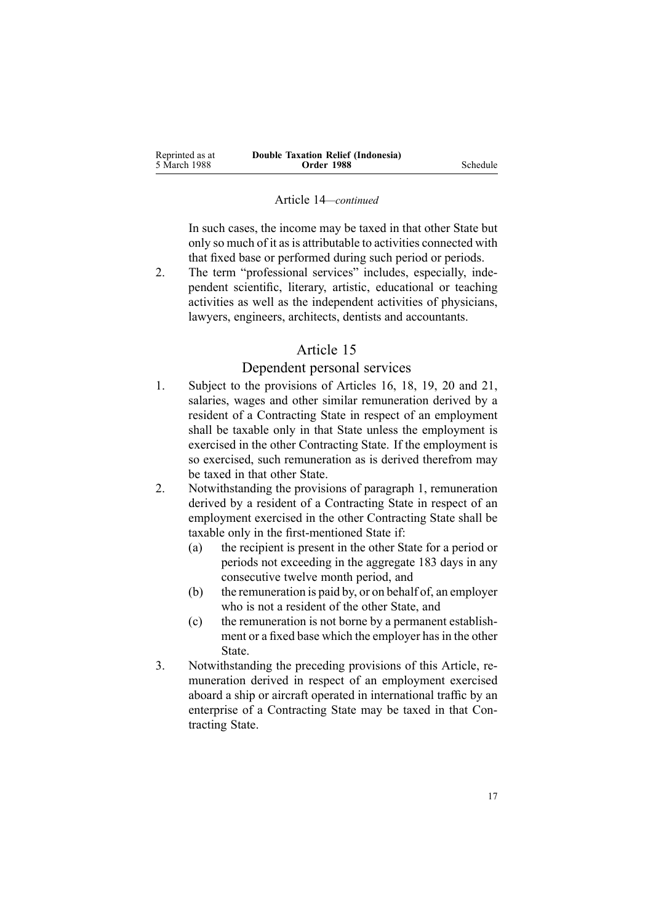| Reprinted as at | <b>Double Taxation Relief (Indonesia)</b> |          |
|-----------------|-------------------------------------------|----------|
| 5 March 1988    | Order 1988                                | Schedule |

#### Article 14*—continued*

In such cases, the income may be taxed in that other State but only so much of it as is attributable to activities connected with that fixed base or performed during such period or periods.

2. The term "professional services" includes, especially, independent scientific, literary, artistic, educational or teaching activities as well as the independent activities of physicians, lawyers, engineers, architects, dentists and accountants.

# Article 15

### Dependent personal services

- 1. Subject to the provisions of Articles 16, 18, 19, 20 and 21, salaries, wages and other similar remuneration derived by <sup>a</sup> resident of <sup>a</sup> Contracting State in respec<sup>t</sup> of an employment shall be taxable only in that State unless the employment is exercised in the other Contracting State. If the employment is so exercised, such remuneration as is derived therefrom may be taxed in that other State.
- 2. Notwithstanding the provisions of paragraph 1, remuneration derived by <sup>a</sup> resident of <sup>a</sup> Contracting State in respec<sup>t</sup> of an employment exercised in the other Contracting State shall be taxable only in the first-mentioned State if:
	- (a) the recipient is presen<sup>t</sup> in the other State for <sup>a</sup> period or periods not exceeding in the aggregate 183 days in any consecutive twelve month period, and
	- (b) the remuneration is paid by, or on behalf of, an employer who is not <sup>a</sup> resident of the other State, and
	- (c) the remuneration is not borne by <sup>a</sup> permanen<sup>t</sup> establishment or a fixed base which the employer has in the other State.
- 3. Notwithstanding the preceding provisions of this Article, remuneration derived in respec<sup>t</sup> of an employment exercised aboard <sup>a</sup> ship or aircraft operated in international traffic by an enterprise of <sup>a</sup> Contracting State may be taxed in that Contracting State.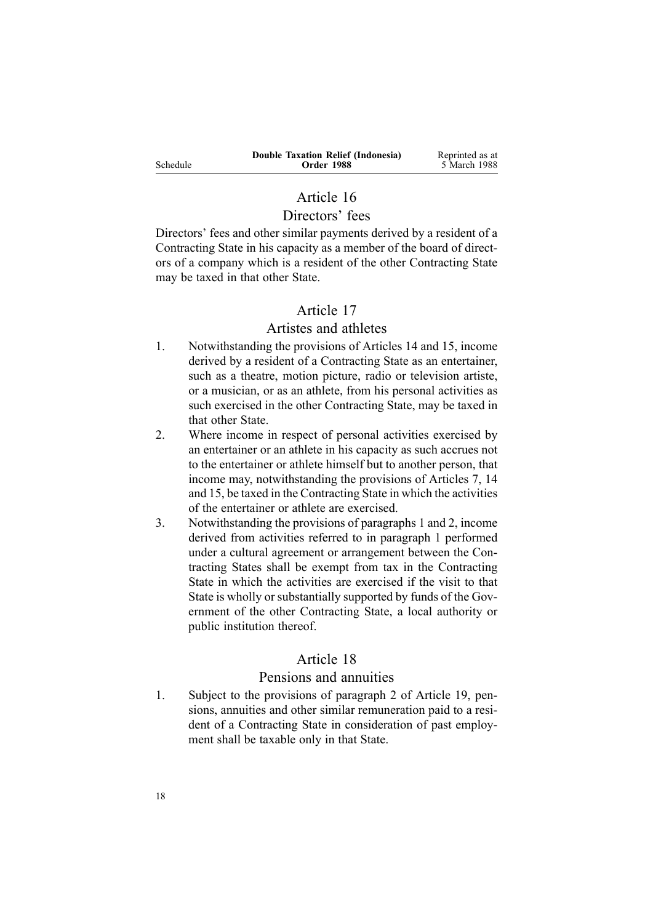|          | <b>Double Taxation Relief (Indonesia)</b> | Reprinted as at |
|----------|-------------------------------------------|-----------------|
| Schedule | <b>Order 1988</b>                         | 5 March 1988    |

# Directors' fees

Directors' fees and other similar payments derived by <sup>a</sup> resident of <sup>a</sup> Contracting State in his capacity as <sup>a</sup> member of the board of directors of <sup>a</sup> company which is <sup>a</sup> resident of the other Contracting State may be taxed in that other State.

# Article 17

# Artistes and athletes

- 1. Notwithstanding the provisions of Articles 14 and 15, income derived by <sup>a</sup> resident of <sup>a</sup> Contracting State as an entertainer, such as <sup>a</sup> theatre, motion picture, radio or television artiste, or <sup>a</sup> musician, or as an athlete, from his personal activities as such exercised in the other Contracting State, may be taxed in that other State.
- 2. Where income in respec<sup>t</sup> of personal activities exercised by an entertainer or an athlete in his capacity as such accrues not to the entertainer or athlete himself but to another person, that income may, notwithstanding the provisions of Articles 7, 14 and 15, be taxed in the Contracting State in which the activities of the entertainer or athlete are exercised.
- 3. Notwithstanding the provisions of paragraphs 1 and 2, income derived from activities referred to in paragraph 1 performed under <sup>a</sup> cultural agreemen<sup>t</sup> or arrangemen<sup>t</sup> between the Contracting States shall be exemp<sup>t</sup> from tax in the Contracting State in which the activities are exercised if the visit to that State is wholly or substantially supported by funds of the Government of the other Contracting State, <sup>a</sup> local authority or public institution thereof.

# Article 18

# Pensions and annuities

1. Subject to the provisions of paragraph 2 of Article 19, pensions, annuities and other similar remuneration paid to <sup>a</sup> resident of <sup>a</sup> Contracting State in consideration of pas<sup>t</sup> employment shall be taxable only in that State.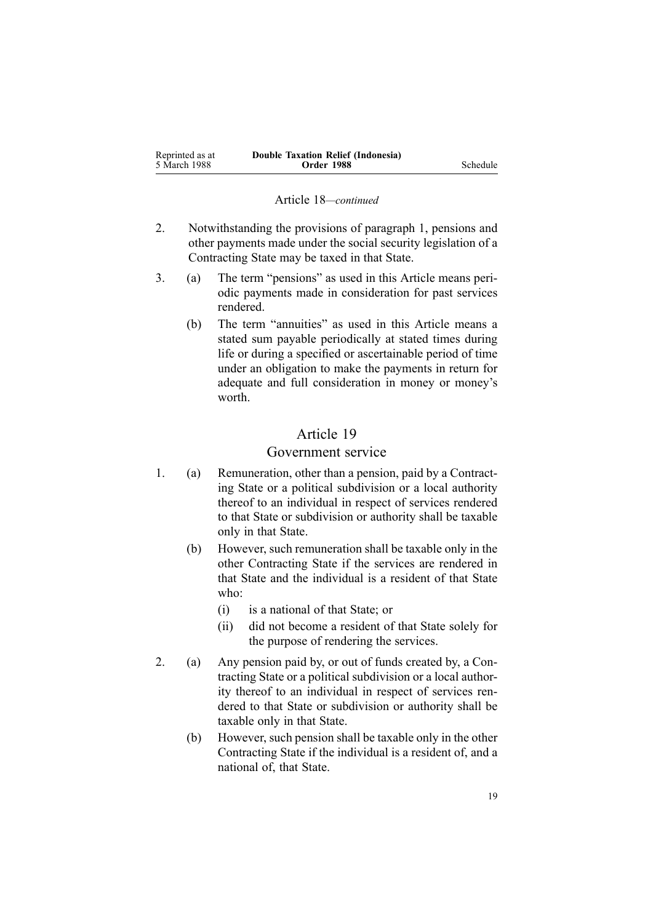| Reprinted as at | <b>Double Taxation Relief (Indonesia)</b> |          |
|-----------------|-------------------------------------------|----------|
| 5 March 1988    | <b>Order 1988</b>                         | Schedule |

#### Article 18*—continued*

- 2. Notwithstanding the provisions of paragraph 1, pensions and other payments made under the social security legislation of <sup>a</sup> Contracting State may be taxed in that State.
- 3. (a) The term "pensions" as used in this Article means periodic payments made in consideration for pas<sup>t</sup> services rendered.
	- (b) The term "annuities" as used in this Article means <sup>a</sup> stated sum payable periodically at stated times during life or during <sup>a</sup> specified or ascertainable period of time under an obligation to make the payments in return for adequate and full consideration in money or money's worth.

#### Article 19

### Government service

- 1. (a) Remuneration, other than <sup>a</sup> pension, paid by <sup>a</sup> Contracting State or <sup>a</sup> political subdivision or <sup>a</sup> local authority thereof to an individual in respec<sup>t</sup> of services rendered to that State or subdivision or authority shall be taxable only in that State.
	- (b) However, such remuneration shall be taxable only in the other Contracting State if the services are rendered in that State and the individual is <sup>a</sup> resident of that State who:
		- (i) is <sup>a</sup> national of that State; or
		- (ii) did not become <sup>a</sup> resident of that State solely for the purpose of rendering the services.
- 2. (a) Any pension paid by, or out of funds created by, <sup>a</sup> Contracting State or <sup>a</sup> political subdivision or <sup>a</sup> local authority thereof to an individual in respec<sup>t</sup> of services rendered to that State or subdivision or authority shall be taxable only in that State.
	- (b) However, such pension shall be taxable only in the other Contracting State if the individual is <sup>a</sup> resident of, and <sup>a</sup> national of, that State.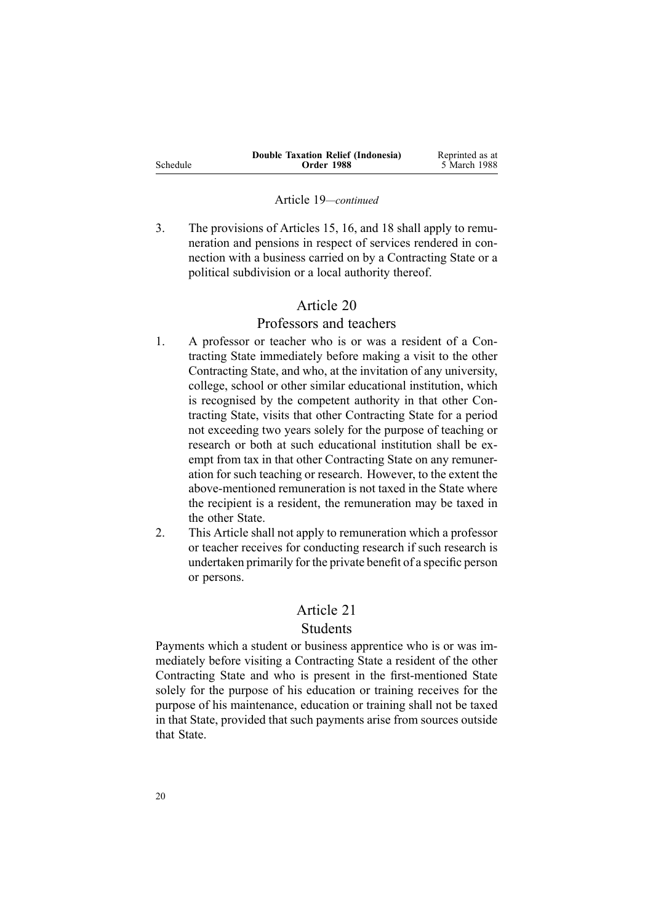|          | <b>Double Taxation Relief (Indonesia)</b> | Reprinted as at |
|----------|-------------------------------------------|-----------------|
| Schedule | <b>Order 1988</b>                         | 5 March 1988    |

#### Article 19*—continued*

3. The provisions of Articles 15, 16, and 18 shall apply to remuneration and pensions in respec<sup>t</sup> of services rendered in connection with <sup>a</sup> business carried on by <sup>a</sup> Contracting State or <sup>a</sup> political subdivision or <sup>a</sup> local authority thereof.

### Article 20

### Professors and teachers

- 1. A professor or teacher who is or was <sup>a</sup> resident of <sup>a</sup> Contracting State immediately before making <sup>a</sup> visit to the other Contracting State, and who, at the invitation of any university, college, school or other similar educational institution, which is recognised by the competent authority in that other Contracting State, visits that other Contracting State for <sup>a</sup> period not exceeding two years solely for the purpose of teaching or research or both at such educational institution shall be exemp<sup>t</sup> from tax in that other Contracting State on any remuneration for such teaching or research. However, to the extent the above-mentioned remuneration is not taxed in the State where the recipient is <sup>a</sup> resident, the remuneration may be taxed in the other State.
- 2. This Article shall not apply to remuneration which <sup>a</sup> professor or teacher receives for conducting research if such research is undertaken primarily for the private benefit of <sup>a</sup> specific person or persons.

# Article 21

# Students

Payments which <sup>a</sup> student or business apprentice who is or was immediately before visiting <sup>a</sup> Contracting State <sup>a</sup> resident of the other Contracting State and who is presen<sup>t</sup> in the first-mentioned State solely for the purpose of his education or training receives for the purpose of his maintenance, education or training shall not be taxed in that State, provided that such payments arise from sources outside that State.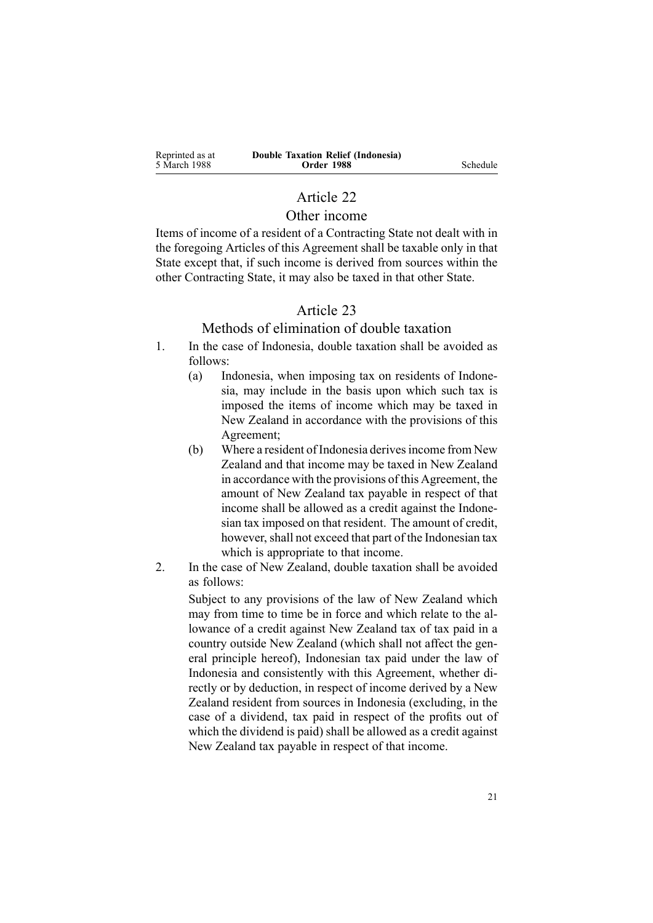| Reprinted as at | <b>Double Taxation Relief (Indonesia)</b> |          |
|-----------------|-------------------------------------------|----------|
| 5 March 1988    | <b>Order 1988</b>                         | Schedule |

# Other income

Items of income of <sup>a</sup> resident of <sup>a</sup> Contracting State not dealt with in the foregoing Articles of this Agreement shall be taxable only in that State excep<sup>t</sup> that, if such income is derived from sources within the other Contracting State, it may also be taxed in that other State.

# Article 23

### Methods of elimination of double taxation

- 1. In the case of Indonesia, double taxation shall be avoided as follows:
	- (a) Indonesia, when imposing tax on residents of Indonesia, may include in the basis upon which such tax is imposed the items of income which may be taxed in New Zealand in accordance with the provisions of this Agreement;
	- (b) Where a resident of Indonesia derives income from New Zealand and that income may be taxed in New Zealand in accordance with the provisions of this Agreement, the amount of New Zealand tax payable in respec<sup>t</sup> of that income shall be allowed as <sup>a</sup> credit against the Indonesian tax imposed on that resident. The amount of credit, however, shall not exceed that par<sup>t</sup> of the Indonesian tax which is appropriate to that income.
- 2. In the case of New Zealand, double taxation shall be avoided as follows:

Subject to any provisions of the law of New Zealand which may from time to time be in force and which relate to the allowance of <sup>a</sup> credit against New Zealand tax of tax paid in <sup>a</sup> country outside New Zealand (which shall not affect the general principle hereof), Indonesian tax paid under the law of Indonesia and consistently with this Agreement, whether directly or by deduction, in respec<sup>t</sup> of income derived by <sup>a</sup> New Zealand resident from sources in Indonesia (excluding, in the case of <sup>a</sup> dividend, tax paid in respec<sup>t</sup> of the profits out of which the dividend is paid) shall be allowed as <sup>a</sup> credit against New Zealand tax payable in respec<sup>t</sup> of that income.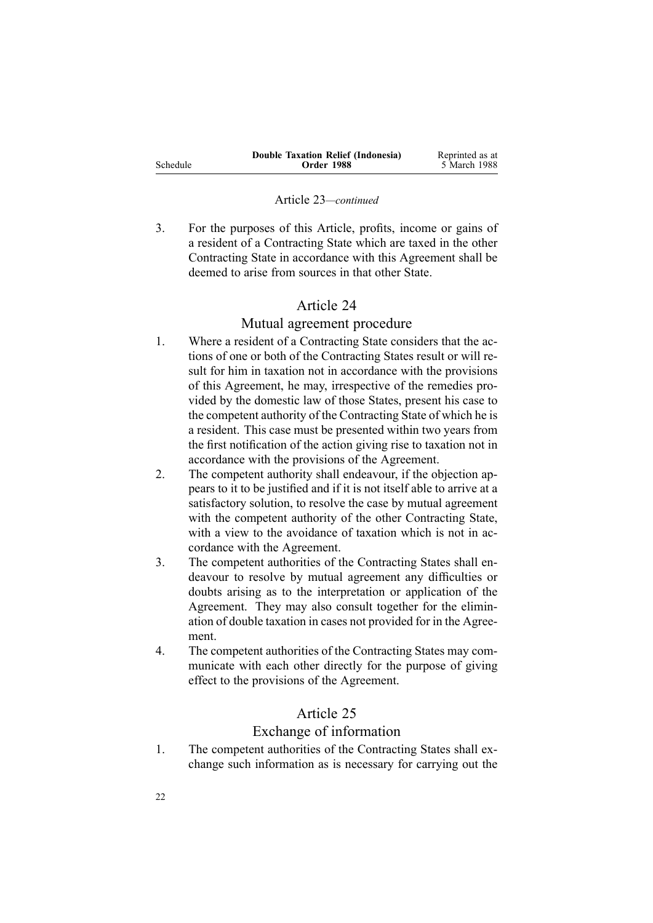|          | <b>Double Taxation Relief (Indonesia)</b> | Reprinted as at |
|----------|-------------------------------------------|-----------------|
| Schedule | Order 1988                                | 5 March 1988    |

#### Article 23*—continued*

3. For the purposes of this Article, profits, income or gains of <sup>a</sup> resident of <sup>a</sup> Contracting State which are taxed in the other Contracting State in accordance with this Agreement shall be deemed to arise from sources in that other State.

## Article 24

### Mutual agreemen<sup>t</sup> procedure

- 1. Where <sup>a</sup> resident of <sup>a</sup> Contracting State considers that the actions of one or both of the Contracting States result or will result for him in taxation not in accordance with the provisions of this Agreement, he may, irrespective of the remedies provided by the domestic law of those States, presen<sup>t</sup> his case to the competent authority of the Contracting State of which he is <sup>a</sup> resident. This case must be presented within two years from the first notification of the action giving rise to taxation not in accordance with the provisions of the Agreement.
- 2. The competent authority shall endeavour, if the objection appears to it to be justified and if it is not itself able to arrive at <sup>a</sup> satisfactory solution, to resolve the case by mutual agreemen<sup>t</sup> with the competent authority of the other Contracting State, with a view to the avoidance of taxation which is not in accordance with the Agreement.
- 3. The competent authorities of the Contracting States shall endeavour to resolve by mutual agreemen<sup>t</sup> any difficulties or doubts arising as to the interpretation or application of the Agreement. They may also consult together for the elimination of double taxation in cases not provided for in the Agreement.
- 4. The competent authorities of the Contracting States may communicate with each other directly for the purpose of giving effect to the provisions of the Agreement.

# Article 25

# Exchange of information

1. The competent authorities of the Contracting States shall exchange such information as is necessary for carrying out the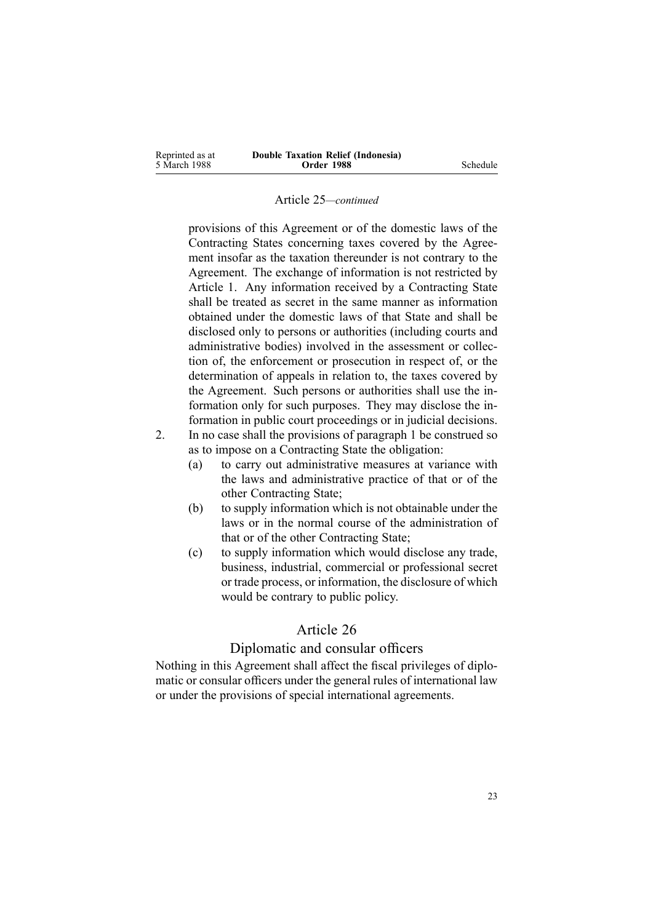| Reprinted as at | <b>Double Taxation Relief (Indonesia)</b> |          |
|-----------------|-------------------------------------------|----------|
| 5 March 1988    | <b>Order 1988</b>                         | Schedule |

#### Article 25*—continued*

provisions of this Agreement or of the domestic laws of the Contracting States concerning taxes covered by the Agreement insofar as the taxation thereunder is not contrary to the Agreement. The exchange of information is not restricted by Article 1. Any information received by <sup>a</sup> Contracting State shall be treated as secret in the same manner as information obtained under the domestic laws of that State and shall be disclosed only to persons or authorities (including courts and administrative bodies) involved in the assessment or collection of, the enforcement or prosecution in respec<sup>t</sup> of, or the determination of appeals in relation to, the taxes covered by the Agreement. Such persons or authorities shall use the information only for such purposes. They may disclose the information in public court proceedings or in judicial decisions.

2. In no case shall the provisions of paragraph 1 be construed so as to impose on <sup>a</sup> Contracting State the obligation:

- (a) to carry out administrative measures at variance with the laws and administrative practice of that or of the other Contracting State;
- (b) to supply information which is not obtainable under the laws or in the normal course of the administration of that or of the other Contracting State;
- (c) to supply information which would disclose any trade, business, industrial, commercial or professional secret or trade process, or information, the disclosure of which would be contrary to public policy.

# Article 26

### Diplomatic and consular officers

Nothing in this Agreement shall affect the fiscal privileges of diplomatic or consular officers under the general rules of international law or under the provisions of special international agreements.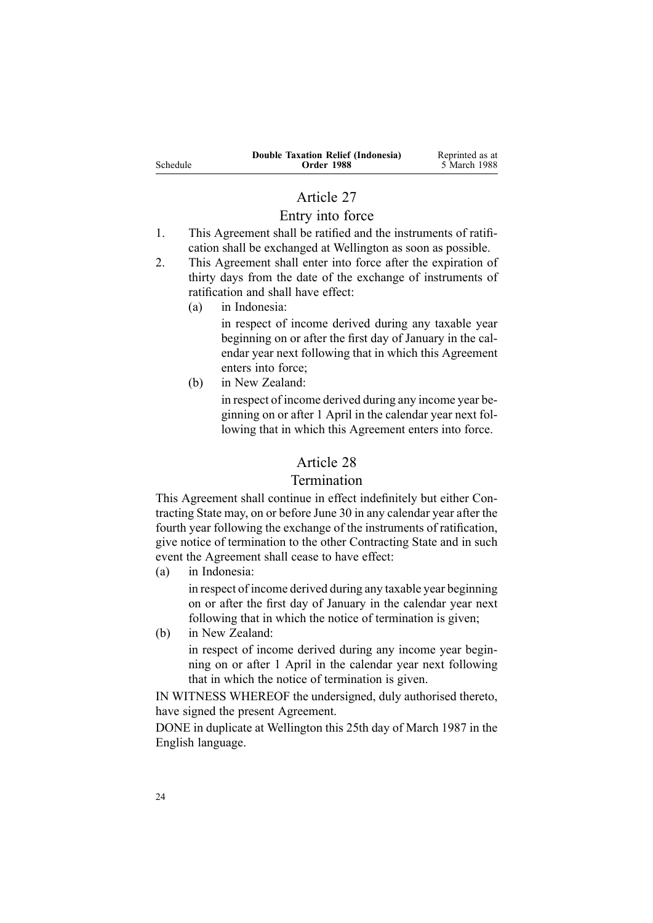|          | <b>Double Taxation Relief (Indonesia)</b> | Reprinted as at |
|----------|-------------------------------------------|-----------------|
| Schedule | <b>Order 1988</b>                         | 5 March 1988    |

# Entry into force

- 1. This Agreement shall be ratified and the instruments of ratification shall be exchanged at Wellington as soon as possible.
- 2. This Agreement shall enter into force after the expiration of thirty days from the date of the exchange of instruments of ratification and shall have effect:
	- (a) in Indonesia:

in respec<sup>t</sup> of income derived during any taxable year beginning on or after the first day of January in the calendar year next following that in which this Agreement enters into force;

(b) in New Zealand:

in respec<sup>t</sup> of income derived during any income year beginning on or after 1 April in the calendar year next following that in which this Agreement enters into force.

# Article 28

# Termination

This Agreement shall continue in effect indefinitely but either Contracting State may, on or before June 30 in any calendar year after the fourth year following the exchange of the instruments of ratification, give notice of termination to the other Contracting State and in such event the Agreement shall cease to have effect:

(a) in Indonesia:

in respec<sup>t</sup> of income derived during any taxable year beginning on or after the first day of January in the calendar year next following that in which the notice of termination is given;

(b) in New Zealand:

in respec<sup>t</sup> of income derived during any income year beginning on or after 1 April in the calendar year next following that in which the notice of termination is given.

IN WITNESS WHEREOF the undersigned, duly authorised thereto, have signed the presen<sup>t</sup> Agreement.

DONE in duplicate at Wellington this 25th day of March 1987 in the English language.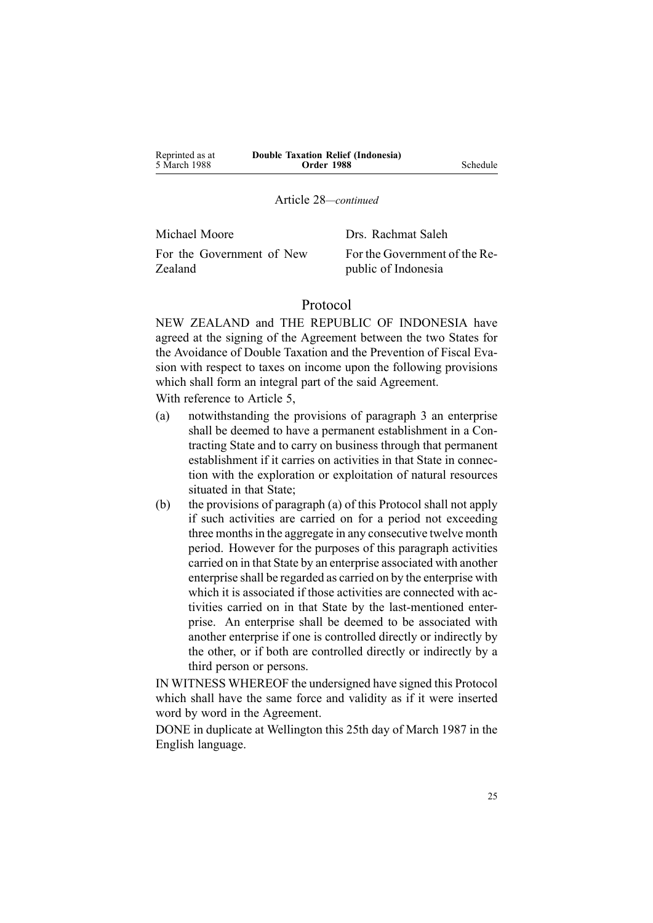| Reprinted as at | <b>Double Taxation Relief (Indonesia)</b> |
|-----------------|-------------------------------------------|
| 5 March 1988    | <b>Order 1988</b>                         |

**Order 1988** Schedule

#### Article 28*—continued*

Michael Moore **Drs. Rachmat Saleh** 

For the Government of New Zealand

For the Government of the Republic of Indonesia

## Protocol

NEW ZEALAND and THE REPUBLIC OF INDONESIA have agreed at the signing of the Agreement between the two States for the Avoidance of Double Taxation and the Prevention of Fiscal Evasion with respec<sup>t</sup> to taxes on income upon the following provisions which shall form an integral par<sup>t</sup> of the said Agreement.

With reference to Article 5,

- (a) notwithstanding the provisions of paragraph 3 an enterprise shall be deemed to have <sup>a</sup> permanen<sup>t</sup> establishment in <sup>a</sup> Contracting State and to carry on business through that permanen<sup>t</sup> establishment if it carries on activities in that State in connection with the exploration or exploitation of natural resources situated in that State;
- (b) the provisions of paragraph (a) of this Protocol shall not apply if such activities are carried on for <sup>a</sup> period not exceeding three months in the aggregate in any consecutive twelve month period. However for the purposes of this paragraph activities carried on in that State by an enterprise associated with another enterprise shall be regarded as carried on by the enterprise with which it is associated if those activities are connected with activities carried on in that State by the last-mentioned enterprise. An enterprise shall be deemed to be associated with another enterprise if one is controlled directly or indirectly by the other, or if both are controlled directly or indirectly by <sup>a</sup> third person or persons.

IN WITNESS WHEREOF the undersigned have signed this Protocol which shall have the same force and validity as if it were inserted word by word in the Agreement.

DONE in duplicate at Wellington this 25th day of March 1987 in the English language.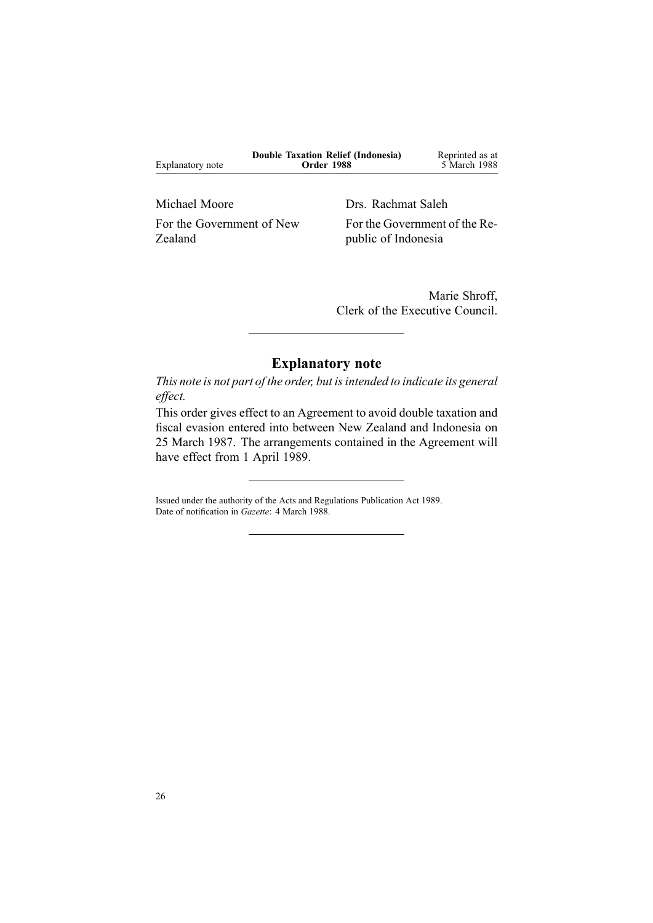|                  | <b>Double Taxation Relief (Indonesia)</b> | Reprinted as at |
|------------------|-------------------------------------------|-----------------|
| Explanatory note | <b>Order 1988</b>                         | 5 March 1988    |

For the Government of New Zealand

Michael Moore Drs. Rachmat Saleh

For the Government of the Republic of Indonesia

Marie Shroff, Clerk of the Executive Council.

# **Explanatory note**

*This note is not par<sup>t</sup> of the order, but isintended to indicate its general effect.*

This order gives effect to an Agreement to avoid double taxation and fiscal evasion entered into between New Zealand and Indonesia on 25 March 1987. The arrangements contained in the Agreement will have effect from 1 April 1989.

Issued under the authority of the Acts and [Regulations](http://www.legislation.govt.nz/pdflink.aspx?id=DLM195097) Publication Act 1989. Date of notification in *Gazette*: 4 March 1988.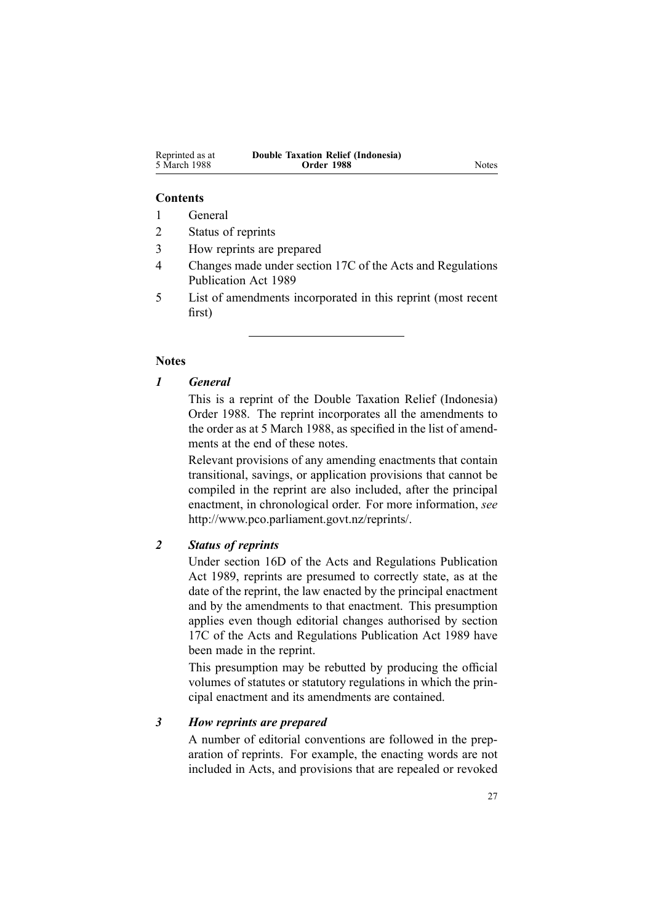| Reprinted as at | <b>Double Taxation Relief (Indonesia)</b> |
|-----------------|-------------------------------------------|
| 5 March 1988    | <b>Order 1988</b>                         |

#### **Contents**

1 General

- 2 Status of reprints
- 3 How reprints are prepared
- 4 Changes made under section 17C of the Acts and Regulations Publication Act 1989
- 5 List of amendments incorporated in this reprint (most recent first)

#### **Notes**

### *1 General*

This is <sup>a</sup> reprint of the Double Taxation Relief (Indonesia) Order 1988. The reprint incorporates all the amendments to the order as at 5 March 1988, as specified in the list of amendments at the end of these notes.

Relevant provisions of any amending enactments that contain transitional, savings, or application provisions that cannot be compiled in the reprint are also included, after the principal enactment, in chronological order. For more information, *see* <http://www.pco.parliament.govt.nz/reprints/>.

### *2 Status of reprints*

Under [section](http://www.legislation.govt.nz/pdflink.aspx?id=DLM195439) 16D of the Acts and Regulations Publication Act 1989, reprints are presumed to correctly state, as at the date of the reprint, the law enacted by the principal enactment and by the amendments to that enactment. This presumption applies even though editorial changes authorised by [section](http://www.legislation.govt.nz/pdflink.aspx?id=DLM195466) [17C](http://www.legislation.govt.nz/pdflink.aspx?id=DLM195466) of the Acts and Regulations Publication Act 1989 have been made in the reprint.

This presumption may be rebutted by producing the official volumes of statutes or statutory regulations in which the principal enactment and its amendments are contained.

#### *3 How reprints are prepared*

A number of editorial conventions are followed in the preparation of reprints. For example, the enacting words are not included in Acts, and provisions that are repealed or revoked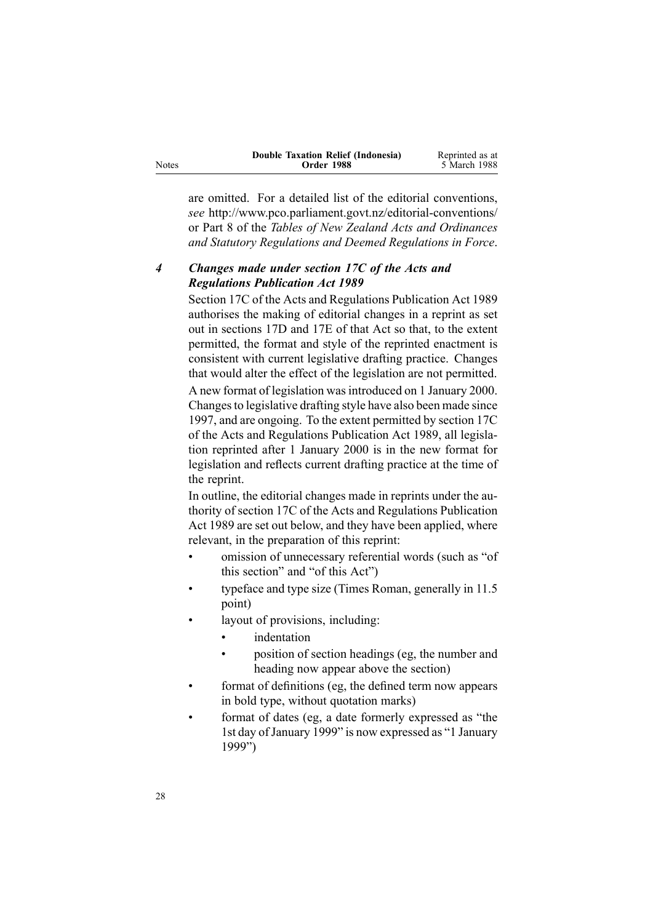|              | <b>Double Taxation Relief (Indonesia)</b> | Reprinted as at |
|--------------|-------------------------------------------|-----------------|
| <b>Notes</b> | <b>Order 1988</b>                         | 5 March 1988    |

are omitted. For <sup>a</sup> detailed list of the editorial conventions, *see* [http://www.pco.parliament.govt.nz/editorial-conventions/](http://www.pco.parliament.govt.nz/editorial-conventions/ ) or Part 8 of the *Tables of New Zealand Acts and Ordinances and Statutory Regulations and Deemed Regulations in Force*.

# *4 Changes made under section 17C of the Acts and Regulations Publication Act 1989*

[Section](http://www.legislation.govt.nz/pdflink.aspx?id=DLM195466) 17C of the Acts and Regulations Publication Act 1989 authorises the making of editorial changes in <sup>a</sup> reprint as set out in [sections](http://www.legislation.govt.nz/pdflink.aspx?id=DLM195468) 17D and [17E](http://www.legislation.govt.nz/pdflink.aspx?id=DLM195470) of that Act so that, to the extent permitted, the format and style of the reprinted enactment is consistent with current legislative drafting practice. Changes that would alter the effect of the legislation are not permitted.

A new format of legislation wasintroduced on 1 January 2000. Changesto legislative drafting style have also been made since 1997, and are ongoing. To the extent permitted by [section](http://www.legislation.govt.nz/pdflink.aspx?id=DLM195466) 17C of the Acts and Regulations Publication Act 1989, all legislation reprinted after 1 January 2000 is in the new format for legislation and reflects current drafting practice at the time of the reprint.

In outline, the editorial changes made in reprints under the authority of [section](http://www.legislation.govt.nz/pdflink.aspx?id=DLM195466) 17C of the Acts and Regulations Publication Act 1989 are set out below, and they have been applied, where relevant, in the preparation of this reprint:

- • omission of unnecessary referential words (such as "of this section" and "of this Act")
- • typeface and type size (Times Roman, generally in 11.5 point)
- • layout of provisions, including:
	- •indentation
	- • position of section headings (eg, the number and heading now appear above the section)
- • format of definitions (eg, the defined term now appears in bold type, without quotation marks)
- • format of dates (eg, <sup>a</sup> date formerly expressed as "the 1st day of January 1999" is now expressed as "1 January 1999")